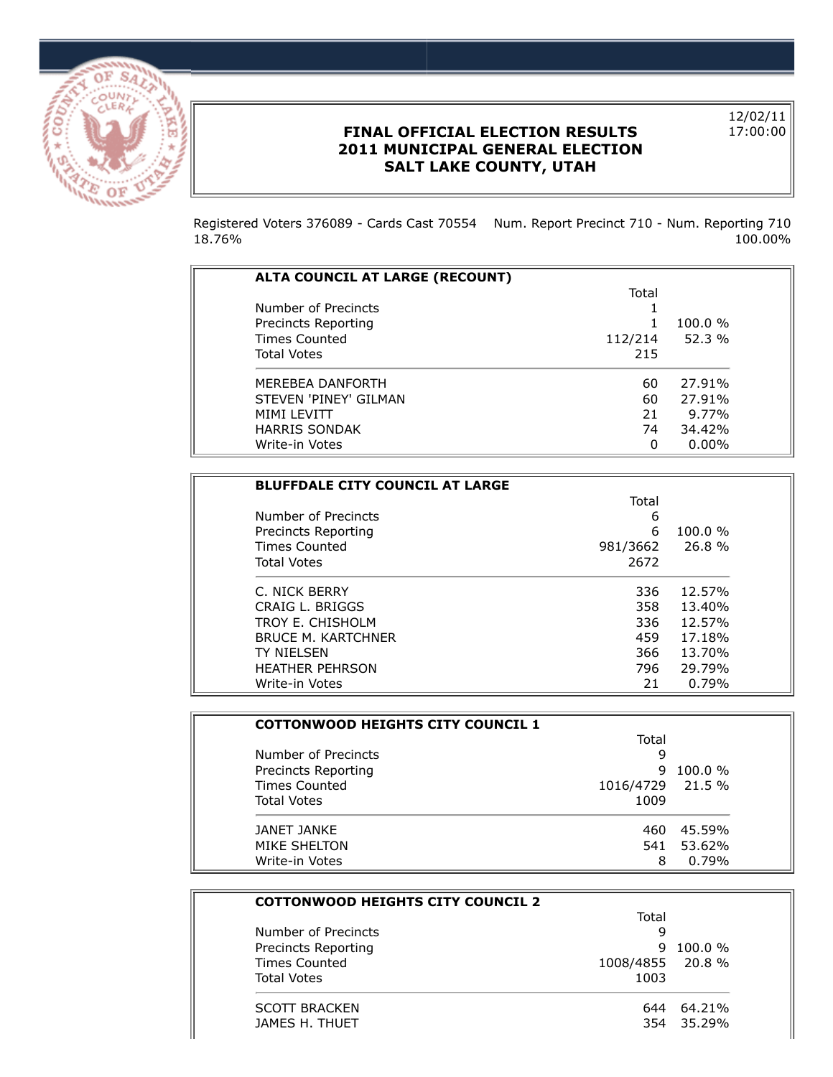

## **FINAL OFFICIAL ELECTION RESULTS 2011 MUNICIPAL GENERAL ELECTION SALT LAKE COUNTY, UTAH**

12/02/11 17:00:00

Registered Voters 376089 - Cards Cast 70554 Num. Report Precinct 710 - Num. Reporting 710 18.76% 100.00%

| ALTA COUNCIL AT LARGE (RECOUNT) |         |            |
|---------------------------------|---------|------------|
|                                 |         |            |
|                                 | Total   |            |
| Number of Precincts             |         |            |
| Precincts Reporting             |         | $100.0 \%$ |
| <b>Times Counted</b>            | 112/214 | 52.3%      |
| <b>Total Votes</b>              | 215     |            |
| MEREBEA DANFORTH                | 60      | 27.91%     |
| STEVEN 'PINEY' GILMAN           | 60      | 27.91%     |
| <b>MIMI LEVITT</b>              | 21      | 9.77%      |
| <b>HARRIS SONDAK</b>            | 74      | 34.42%     |
| Write-in Votes                  | 0       | $0.00\%$   |

| <b>BLUFFDALE CITY COUNCIL AT LARGE</b> |          |        |
|----------------------------------------|----------|--------|
|                                        | Total    |        |
| Number of Precincts                    | 6        |        |
| Precincts Reporting                    | 6        | 100.0% |
| <b>Times Counted</b>                   | 981/3662 | 26.8%  |
| <b>Total Votes</b>                     | 2672     |        |
| C. NICK BERRY                          | 336      | 12.57% |
| CRAIG L. BRIGGS                        | 358      | 13.40% |
| TROY F. CHISHOI M                      | 336      | 12.57% |
| <b>BRUCE M. KARTCHNER</b>              | 459      | 17.18% |
| TY NIFI SFN                            | 366      | 13.70% |
| <b>HEATHER PEHRSON</b>                 | 796      | 29.79% |
| Write-in Votes                         | 21       | 0.79%  |

| <b>COTTONWOOD HEIGHTS CITY COUNCIL 1</b> |           |            |
|------------------------------------------|-----------|------------|
|                                          | Total     |            |
| Number of Precincts                      | 9         |            |
| Precincts Reporting                      | q         | $100.0 \%$ |
| Times Counted                            | 1016/4729 | 21.5 %     |
| <b>Total Votes</b>                       | 1009      |            |
| JANET JANKE                              | 460       | 45.59%     |
| MIKE SHELTON                             | 541       | 53.62%     |
| Write-in Votes                           | 8         | 0.79%      |

| <b>COTTONWOOD HEIGHTS CITY COUNCIL 2</b> |                  |            |
|------------------------------------------|------------------|------------|
|                                          | Total            |            |
| Number of Precincts                      | 9                |            |
| Precincts Reporting                      | 9.               | $100.0 \%$ |
| <b>Times Counted</b>                     | 1008/4855 20.8 % |            |
| <b>Total Votes</b>                       | 1003             |            |
| <b>SCOTT BRACKEN</b>                     | 644              | 64.21%     |
| JAMES H. THUET                           |                  | 354 35.29% |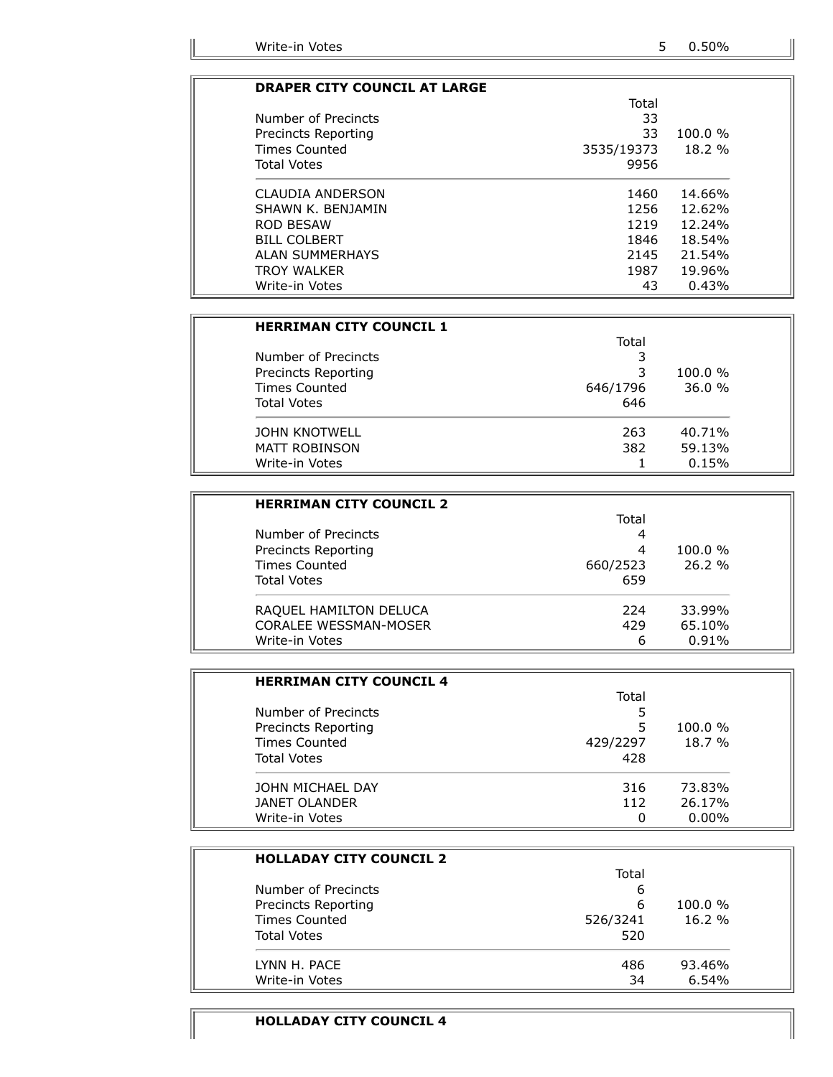### **DRAPER CITY COUNCIL AT LARGE**

|                        | Total      |            |
|------------------------|------------|------------|
| Number of Precincts    | 33         |            |
| Precincts Reporting    | 33         | $100.0 \%$ |
| Times Counted          | 3535/19373 | 18.2 %     |
| <b>Total Votes</b>     | 9956       |            |
| CLAUDIA ANDERSON       | 1460       | 14.66%     |
| SHAWN K. BENJAMIN      | 1256       | 12.62%     |
| ROD BESAW              | 1219       | $12.24\%$  |
| <b>BILL COLBERT</b>    | 1846       | 18.54%     |
| <b>ALAN SUMMERHAYS</b> | 2145       | 21.54%     |
| <b>TROY WALKER</b>     | 1987       | 19.96%     |
| Write-in Votes         | 43         | 0.43%      |

| <b>HERRIMAN CITY COUNCIL 1</b> |          |            |
|--------------------------------|----------|------------|
|                                | Total    |            |
| Number of Precincts            |          |            |
| Precincts Reporting            | 3        | $100.0 \%$ |
| <b>Times Counted</b>           | 646/1796 | 36.0%      |
| <b>Total Votes</b>             | 646      |            |
| <b>JOHN KNOTWELL</b>           | 263      | 40.71%     |
| MATT ROBINSON                  | 382      | 59.13%     |
| Write-in Votes                 |          | 0.15%      |

| <b>HERRIMAN CITY COUNCIL 2</b> |          |            |
|--------------------------------|----------|------------|
|                                | Total    |            |
| Number of Precincts            | 4        |            |
| Precincts Reporting            | 4        | $100.0 \%$ |
| Times Counted                  | 660/2523 | 26.2%      |
| <b>Total Votes</b>             | 659      |            |
| RAQUEL HAMILTON DELUCA         | 224      | 33.99%     |
| <b>CORALEE WESSMAN-MOSER</b>   | 429      | 65.10%     |
| Write-in Votes                 | 6        | 0.91%      |

| <b>HERRIMAN CITY COUNCIL 4</b> |          |          |
|--------------------------------|----------|----------|
|                                | Total    |          |
| Number of Precincts            |          |          |
| Precincts Reporting            | 5        | 100.0%   |
| <b>Times Counted</b>           | 429/2297 | 18.7%    |
| <b>Total Votes</b>             | 428      |          |
| JOHN MICHAEL DAY               | 316      | 73.83%   |
| <b>JANET OLANDER</b>           | 112      | 26.17%   |
| Write-in Votes                 | O        | $0.00\%$ |

| <b>HOLLADAY CITY COUNCIL 2</b> |          |            |
|--------------------------------|----------|------------|
|                                | Total    |            |
| Number of Precincts            | 6        |            |
| Precincts Reporting            | 6        | $100.0 \%$ |
| <b>Times Counted</b>           | 526/3241 | 16.2%      |
| <b>Total Votes</b>             | 520      |            |
| LYNN H. PACE                   | 486      | 93.46%     |
| Write-in Votes                 | 34       | 6.54%      |

### **HOLLADAY CITY COUNCIL 4**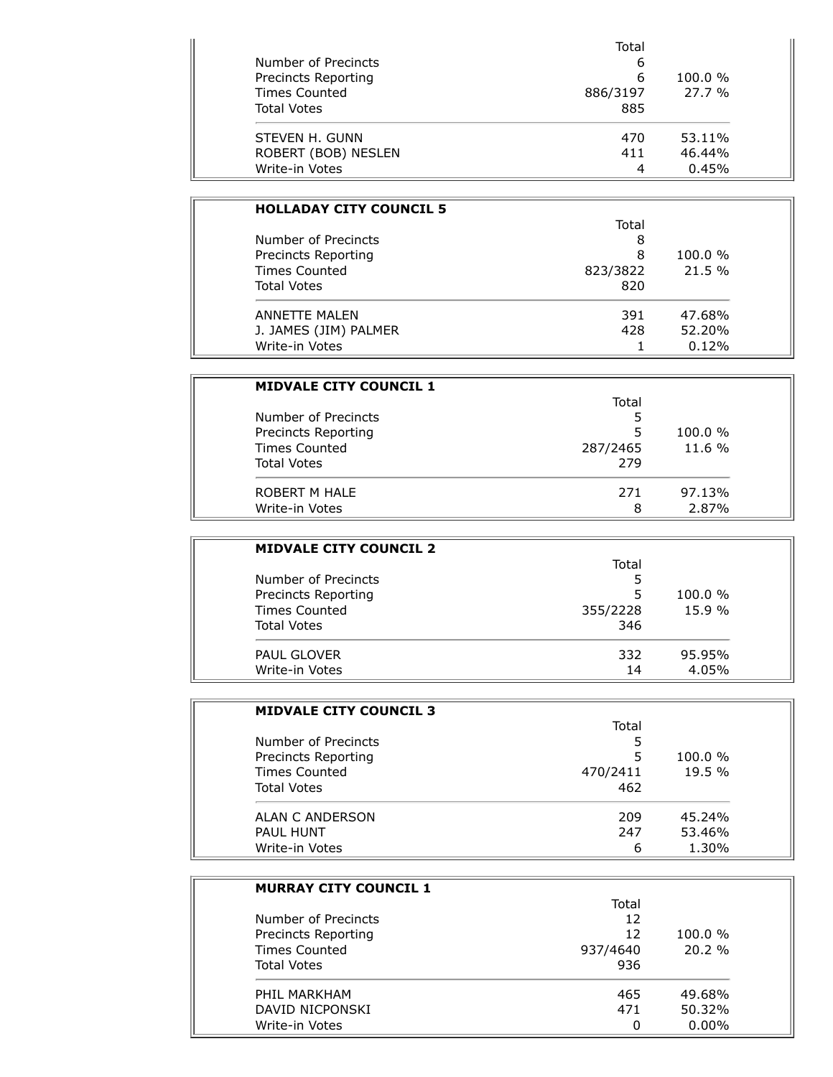| Number of Precincts<br>Precincts Reporting | Total  |            |               |
|--------------------------------------------|--------|------------|---------------|
|                                            | b<br>6 | $100.0 \%$ |               |
|                                            |        |            | Times Counted |
| <b>Total Votes</b>                         | 885    |            |               |
| STEVEN H. GUNN                             | 470    | 53.11%     |               |
| ROBERT (BOB) NESLEN                        | 411    | 46.44%     |               |
| Write-in Votes                             | 4      | 0.45%      |               |

| <b>HOLLADAY CITY COUNCIL 5</b> |          |        |
|--------------------------------|----------|--------|
|                                | Total    |        |
| Number of Precincts            | 8        |        |
| Precincts Reporting            | 8        | 100.0% |
| <b>Times Counted</b>           | 823/3822 | 21.5 % |
| <b>Total Votes</b>             | 820      |        |
| ANNETTE MAI FN                 | 391      | 47.68% |
| J. JAMES (JIM) PALMER          | 428      | 52.20% |
| Write-in Votes                 |          | 0.12%  |

| <b>MIDVALE CITY COUNCIL 1</b> |          |        |
|-------------------------------|----------|--------|
|                               | Total    |        |
| Number of Precincts           |          |        |
| Precincts Reporting           | 5        | 100.0% |
| <b>Times Counted</b>          | 287/2465 | 11.6 % |
| <b>Total Votes</b>            | 279      |        |
| ROBERT M HALE                 | 271      | 97.13% |
| Write-in Votes                | 8        | 2.87%  |

| <b>MIDVALE CITY COUNCIL 2</b> |          |            |
|-------------------------------|----------|------------|
|                               | Total    |            |
| Number of Precincts           |          |            |
| <b>Precincts Reporting</b>    | 5        | $100.0 \%$ |
| <b>Times Counted</b>          | 355/2228 | 15.9%      |
| <b>Total Votes</b>            | 346      |            |
| <b>PAUL GLOVER</b>            | 332      | 95.95%     |
| Write-in Votes                | 14       | 4.05%      |

| <b>MIDVALE CITY COUNCIL 3</b> |          |        |
|-------------------------------|----------|--------|
|                               | Total    |        |
| Number of Precincts           | 5        |        |
| Precincts Reporting           | 5        | 100.0% |
| Times Counted                 | 470/2411 | 19.5%  |
| <b>Total Votes</b>            | 462      |        |
| ALAN C ANDERSON               | 209      | 45.24% |
| <b>PAUL HUNT</b>              | 247      | 53.46% |
| Write-in Votes                | 6        | 1.30%  |

| <b>MURRAY CITY COUNCIL 1</b> |          |            |
|------------------------------|----------|------------|
|                              | Total    |            |
| Number of Precincts          | 12       |            |
| <b>Precincts Reporting</b>   | 12       | $100.0 \%$ |
| Times Counted                | 937/4640 | 20.2%      |
| <b>Total Votes</b>           | 936      |            |
| PHII MARKHAM                 | 465      | 49.68%     |
| DAVID NICPONSKI              | 471      | 50.32%     |
| Write-in Votes               | 0        | $0.00\%$   |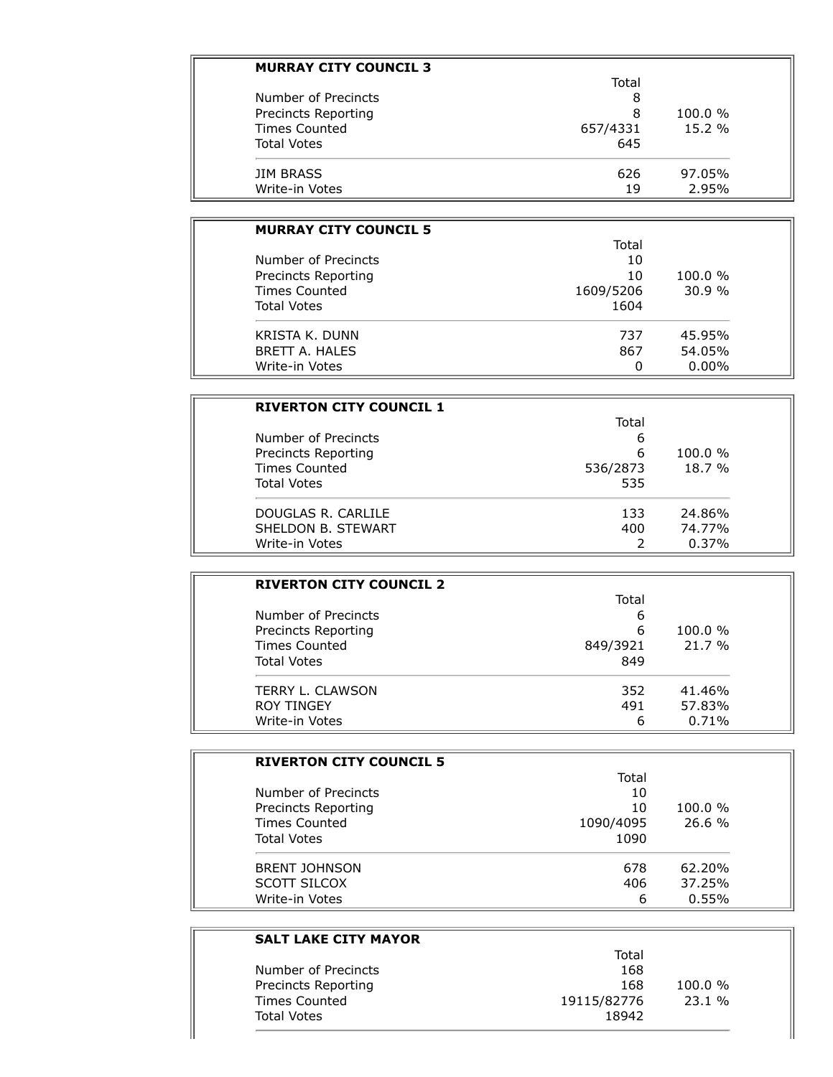| <b>MURRAY CITY COUNCIL 3</b> |          |            |
|------------------------------|----------|------------|
|                              | Total    |            |
| Number of Precincts          | 8        |            |
| Precincts Reporting          | 8        | $100.0 \%$ |
| <b>Times Counted</b>         | 657/4331 | 15.2%      |
| <b>Total Votes</b>           | 645      |            |
| <b>JIM BRASS</b>             | 626      | 97.05%     |
| Write-in Votes               | 19       | 2.95%      |

| <b>MURRAY CITY COUNCIL 5</b>               |          |            |
|--------------------------------------------|----------|------------|
|                                            | Total    |            |
| Number of Precincts<br>Precincts Reporting | 10<br>10 | $100.0 \%$ |
|                                            |          |            |
| <b>Total Votes</b>                         | 1604     |            |
| KRISTA K. DUNN                             | 737      | 45.95%     |
| BRETT A. HALES                             | 867      | 54.05%     |
| Write-in Votes                             | 0        | $0.00\%$   |

| <b>RIVERTON CITY COUNCIL 1</b>             |        |            |
|--------------------------------------------|--------|------------|
| Number of Precincts<br>Precincts Reporting | Total  |            |
|                                            | 6<br>6 | $100.0 \%$ |
|                                            |        |            |
| <b>Total Votes</b>                         | 535    |            |
| DOUGLAS R. CARLILE                         | 133    | 24.86%     |
| SHELDON B. STEWART                         | 400    | 74.77%     |
| Write-in Votes                             |        | 0.37%      |

| <b>RIVERTON CITY COUNCIL 2</b>             |        |            |
|--------------------------------------------|--------|------------|
|                                            | Total  |            |
| Number of Precincts<br>Precincts Reporting | 6<br>6 | $100.0 \%$ |
|                                            |        |            |
| <b>Total Votes</b>                         | 849    |            |
| TERRY L. CLAWSON                           | 352    | 41.46%     |
| <b>ROY TINGEY</b>                          | 491    | 57.83%     |
| Write-in Votes                             | 6      | 0.71%      |

| <b>RIVERTON CITY COUNCIL 5</b> |           |            |
|--------------------------------|-----------|------------|
|                                | Total     |            |
| Number of Precincts            | 10        |            |
| <b>Precincts Reporting</b>     | 10        | $100.0 \%$ |
| <b>Times Counted</b>           | 1090/4095 | 26.6%      |
| <b>Total Votes</b>             | 1090      |            |
| <b>BRENT JOHNSON</b>           | 678       | 62.20%     |
| SCOTT SILCOX                   | 406       | 37.25%     |
| Write-in Votes                 | 6         | 0.55%      |

### **SALT LAKE CITY MAYOR** Total Number of Precincts 168 Precincts Reporting 168 100.0 % Times Counted **19115/82776** 23.1 % Total Votes and The Contract of the Contract of the Contract of the Contract of the Contract of the Contract of the Contract of the Contract of the Contract of the Contract of the Contract of the Contract of the Contract o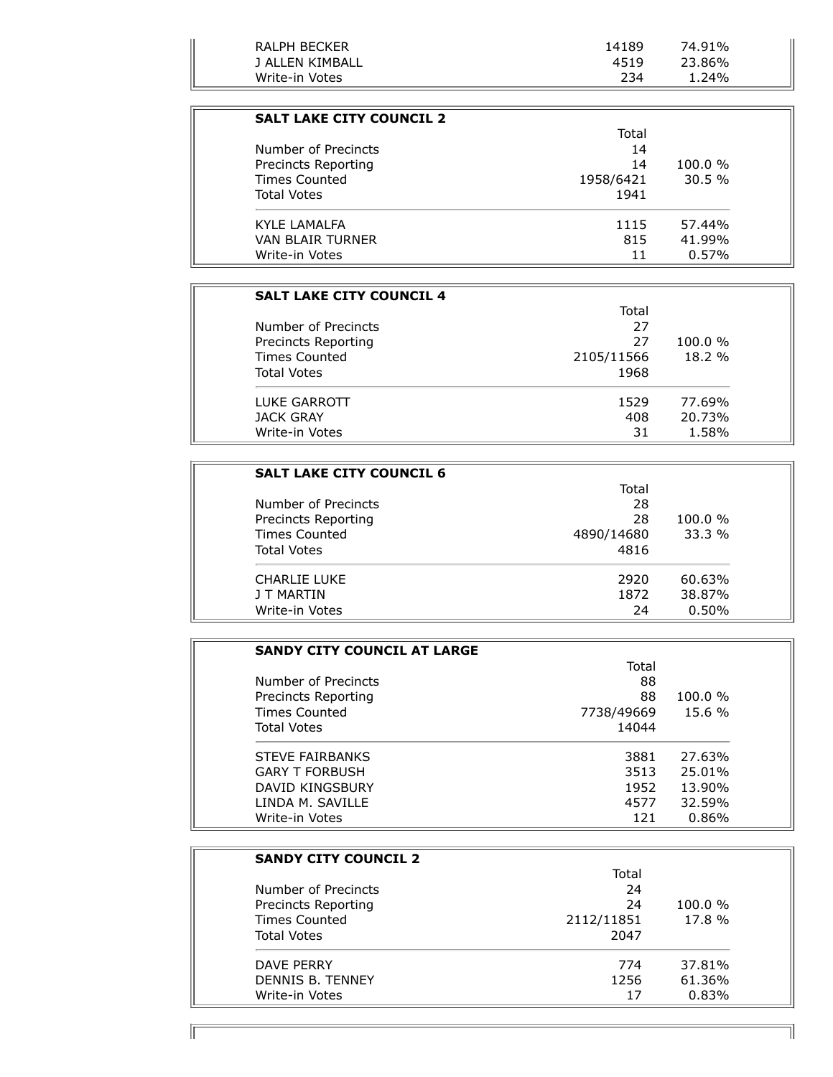| RALPH BECKER    | 14189 | 74.91% |  |
|-----------------|-------|--------|--|
| J ALLEN KIMBALL | 4519  | 23.86% |  |
| Write-in Votes  | 234   | 1.24%  |  |

| <b>SALT LAKE CITY COUNCIL 2</b>            |           |            |
|--------------------------------------------|-----------|------------|
| Number of Precincts<br>Precincts Reporting | Total     |            |
|                                            | 14        |            |
|                                            | 14        | $100.0 \%$ |
| Times Counted                              | 1958/6421 | 30.5%      |
| <b>Total Votes</b>                         | 1941      |            |
| KYI F I AMAI FA                            | 1115      | 57.44%     |
| VAN BI AIR TURNER                          | 815       | 41.99%     |
| Write-in Votes                             | 11        | 0.57%      |

| <b>SALT LAKE CITY COUNCIL 4</b>            |          |            |                      |
|--------------------------------------------|----------|------------|----------------------|
| Number of Precincts<br>Precincts Reporting | Total    |            |                      |
|                                            | 27<br>27 | $100.0 \%$ |                      |
|                                            |          |            | <b>Times Counted</b> |
| <b>Total Votes</b>                         | 1968     |            |                      |
| LUKE GARROTT                               | 1529     | 77.69%     |                      |
| JACK GRAY                                  | 408      | 20.73%     |                      |
| Write-in Votes                             | 31       | 1.58%      |                      |

| <b>SALT LAKE CITY COUNCIL 6</b>            |          |            |
|--------------------------------------------|----------|------------|
|                                            | Total    |            |
| Number of Precincts<br>Precincts Reporting | 28<br>28 | $100.0 \%$ |
|                                            |          |            |
| <b>Total Votes</b>                         | 4816     |            |
| CHARLIF LUKE                               | 2920     | 60.63%     |
| J T MARTIN                                 | 1872     | 38.87%     |
| Write-in Votes                             | 24       | 0.50%      |

| <b>SANDY CITY COUNCIL AT LARGE</b> |            |        |
|------------------------------------|------------|--------|
|                                    | Total      |        |
| Number of Precincts                | 88         |        |
| Precincts Reporting                | 88         | 100.0% |
| <b>Times Counted</b>               | 7738/49669 | 15.6 % |
| <b>Total Votes</b>                 | 14044      |        |
| <b>STEVE FAIRBANKS</b>             | 3881       | 27.63% |
| <b>GARY T FORBUSH</b>              | 3513       | 25.01% |
| DAVID KINGSBURY                    | 1952       | 13.90% |
| LINDA M. SAVILLE                   | 4577       | 32.59% |
| Write-in Votes                     | 121        | 0.86%  |

| <b>SANDY CITY COUNCIL 2</b> |            |            |
|-----------------------------|------------|------------|
|                             | Total      |            |
| Number of Precincts         | 24         |            |
| <b>Precincts Reporting</b>  | 24         | $100.0 \%$ |
| <b>Times Counted</b>        | 2112/11851 | 17.8 %     |
| <b>Total Votes</b>          | 2047       |            |
| DAVE PERRY                  | 774        | 37.81%     |
| DENNIS B. TENNEY            | 1256       | 61.36%     |
| Write-in Votes              | 17         | 0.83%      |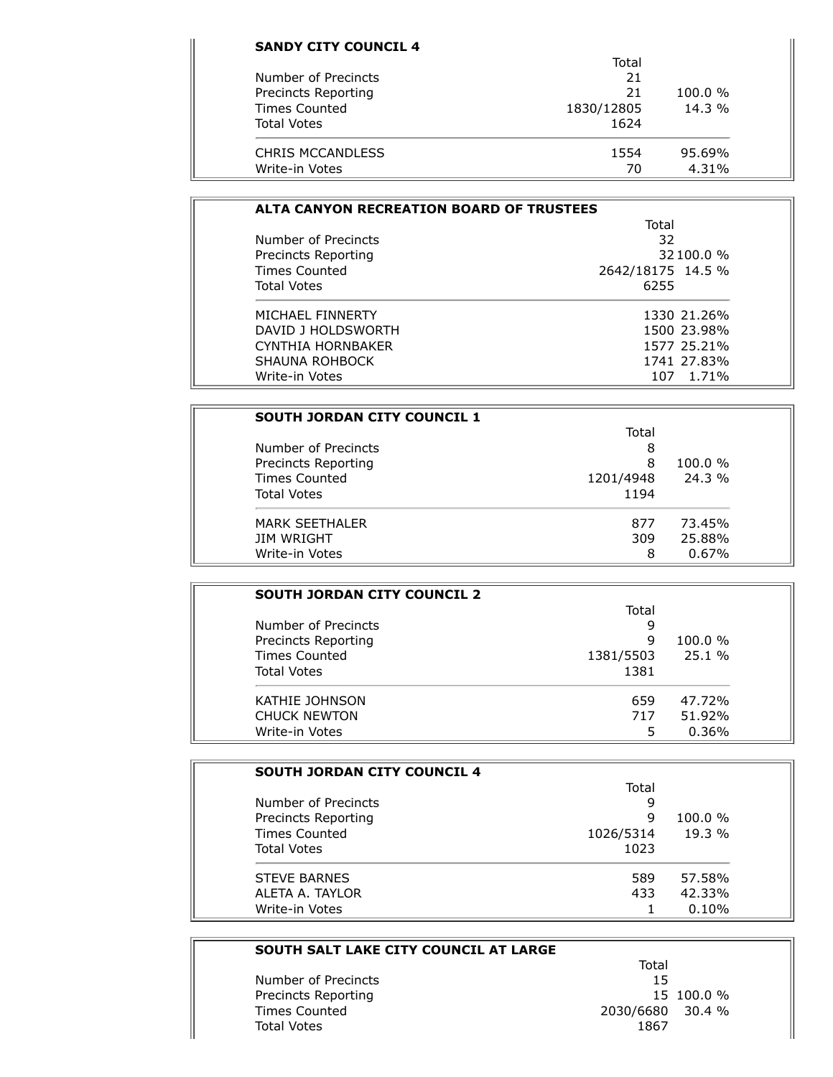| Total<br>21<br>21 | 100.0%   |
|-------------------|----------|
|                   |          |
|                   |          |
|                   |          |
| 1830/12805        | $14.3\%$ |
| 1624              |          |
| 1554              | 95.69%   |
|                   | 4.31%    |
|                   | 70       |

| <b>ALTA CANYON RECREATION BOARD OF TRUSTEES</b> |                   |  |
|-------------------------------------------------|-------------------|--|
|                                                 | Total             |  |
| Number of Precincts                             | 32                |  |
| Precincts Reporting                             | 32 100.0 %        |  |
| Times Counted                                   | 2642/18175 14.5 % |  |
| <b>Total Votes</b>                              | 6255              |  |
| MICHAFI FINNFRTY                                | 1330 21.26%       |  |
| DAVID 1 HOLDSWORTH                              | 1500 23.98%       |  |
| CYNTHIA HORNBAKER                               | 1577 25.21%       |  |
| SHAUNA ROHBOCK                                  | 1741 27.83%       |  |
| Write-in Votes                                  | 107 1.71%         |  |

| <b>SOUTH JORDAN CITY COUNCIL 1</b> |           |            |
|------------------------------------|-----------|------------|
| Number of Precincts                | Total     |            |
|                                    | 8         |            |
| Precincts Reporting                | 8         | $100.0 \%$ |
| Times Counted                      | 1201/4948 | $24.3\%$   |
| <b>Total Votes</b>                 | 1194      |            |
| <b>MARK SEETHALER</b>              | 877       | 73.45%     |
| JIM WRIGHT                         | 309       | 25.88%     |
| Write-in Votes                     | 8         | $0.67\%$   |

| <b>SOUTH JORDAN CITY COUNCIL 2</b> |           |            |
|------------------------------------|-----------|------------|
|                                    | Total     |            |
| Number of Precincts                | 9         |            |
| Precincts Reporting                | 9         | $100.0 \%$ |
| <b>Times Counted</b>               | 1381/5503 | 25.1%      |
| <b>Total Votes</b>                 | 1381      |            |
| KATHIE JOHNSON                     | 659       | 47.72%     |
| <b>CHUCK NEWTON</b>                | 717       | 51.92%     |
| Write-in Votes                     | 5         | 0.36%      |

| <b>SOUTH JORDAN CITY COUNCIL 4</b> |           |            |
|------------------------------------|-----------|------------|
|                                    | Total     |            |
| Number of Precincts                | 9         |            |
| Precincts Reporting                | 9         | $100.0 \%$ |
| <b>Times Counted</b>               | 1026/5314 | 19.3%      |
| <b>Total Votes</b>                 | 1023      |            |
| <b>STEVE BARNES</b>                | 589       | 57.58%     |
| ALETA A. TAYLOR                    | 433       | 42.33%     |
| Write-in Votes                     |           | 0.10%      |

#### **SOUTH SALT LAKE CITY COUNCIL AT LARGE**

Number of Precincts<br>
Precincts Reporting<br>
15 100.0 % Precincts Reporting<br>Times Counted Total Votes

Total 2030/6680 30.4 %<br>1867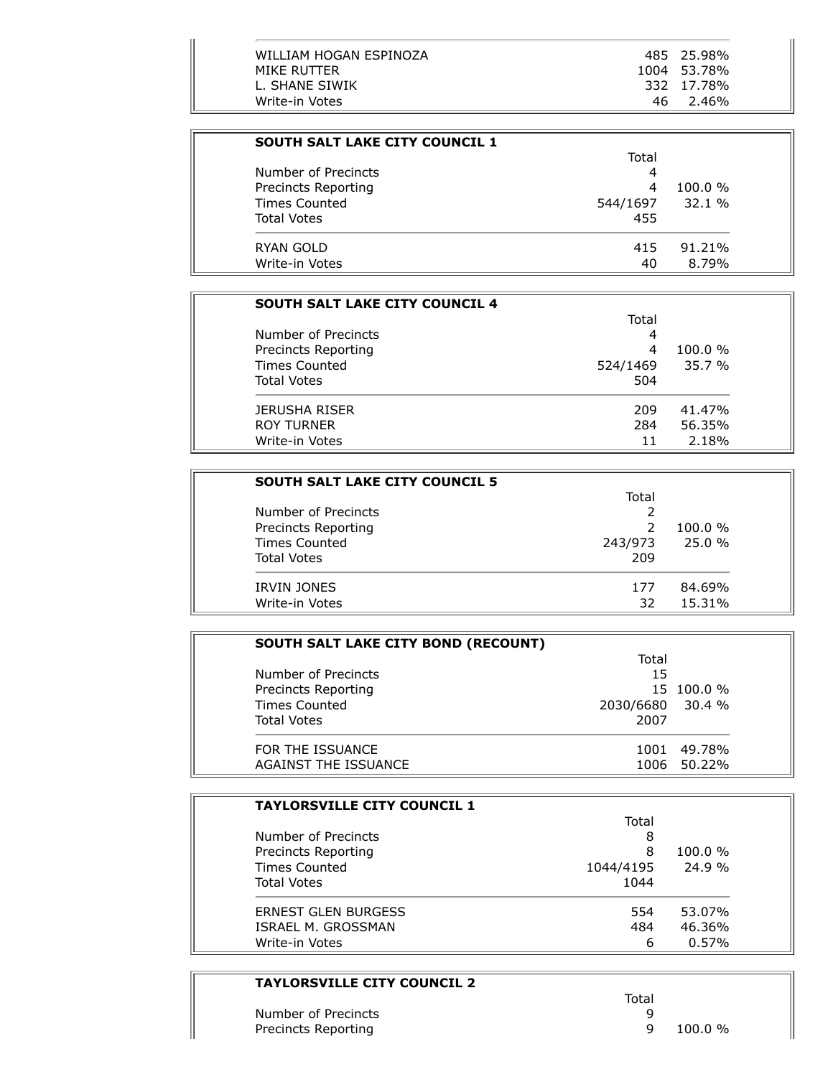| <b>SOUTH SALT LAKE CITY COUNCIL 1</b> |          |            |  |
|---------------------------------------|----------|------------|--|
|                                       | Total    |            |  |
| Number of Precincts                   | 4        |            |  |
| Precincts Reporting                   | 4        | $100.0 \%$ |  |
| <b>Times Counted</b>                  | 544/1697 | 32.1%      |  |
| <b>Total Votes</b>                    | 455      |            |  |
| RYAN GOLD                             | 415      | 91.21%     |  |
| Write-in Votes                        | 40       | 8.79%      |  |

| <b>SOUTH SALT LAKE CITY COUNCIL 4</b> |          |        |
|---------------------------------------|----------|--------|
|                                       | Total    |        |
| Number of Precincts                   | 4        |        |
| Precincts Reporting                   | 4        | 100.0% |
| <b>Times Counted</b>                  | 524/1469 | 35.7%  |
| <b>Total Votes</b>                    | 504      |        |
| JERUSHA RISER                         | 209      | 41.47% |
| <b>ROY TURNER</b>                     | 284      | 56.35% |
| Write-in Votes                        | 11       | 2.18%  |

| <b>SOUTH SALT LAKE CITY COUNCIL 5</b> |         |            |
|---------------------------------------|---------|------------|
|                                       | Total   |            |
| Number of Precincts                   |         |            |
| Precincts Reporting                   |         | $100.0 \%$ |
| <b>Times Counted</b>                  | 243/973 | 25.0%      |
| <b>Total Votes</b>                    | 209     |            |
| <b>IRVIN JONES</b>                    | 177     | 84.69%     |
| Write-in Votes                        | 32      | 15.31%     |

| <b>SOUTH SALT LAKE CITY BOND (RECOUNT)</b> |                  |             |
|--------------------------------------------|------------------|-------------|
|                                            | Total            |             |
| Number of Precincts                        | 15               |             |
| Precincts Reporting                        |                  | 15 100.0 %  |
| Times Counted                              | 2030/6680 30.4 % |             |
| <b>Total Votes</b>                         | 2007             |             |
| FOR THE ISSUANCE                           | 1001             | 49.78%      |
| AGAINST THE ISSUANCE                       |                  | 1006 50.22% |

| <b>TAYLORSVILLE CITY COUNCIL 1</b>                                 |                |                 |
|--------------------------------------------------------------------|----------------|-----------------|
|                                                                    | Total          |                 |
| Number of Precincts<br>Precincts Reporting<br><b>Times Counted</b> | 8              |                 |
|                                                                    | 8<br>1044/4195 | 100.0%<br>24.9% |
|                                                                    |                |                 |
| <b>ERNEST GLEN BURGESS</b>                                         | 554            | 53.07%          |
| ISRAEL M. GROSSMAN                                                 | 484            | 46.36%          |
| Write-in Votes                                                     | 6              | 0.57%           |

# **TAYLORSVILLE CITY COUNCIL 2**

÷,

|                     | Total |         |
|---------------------|-------|---------|
| Number of Precincts |       |         |
| Precincts Reporting |       | 100.0 % |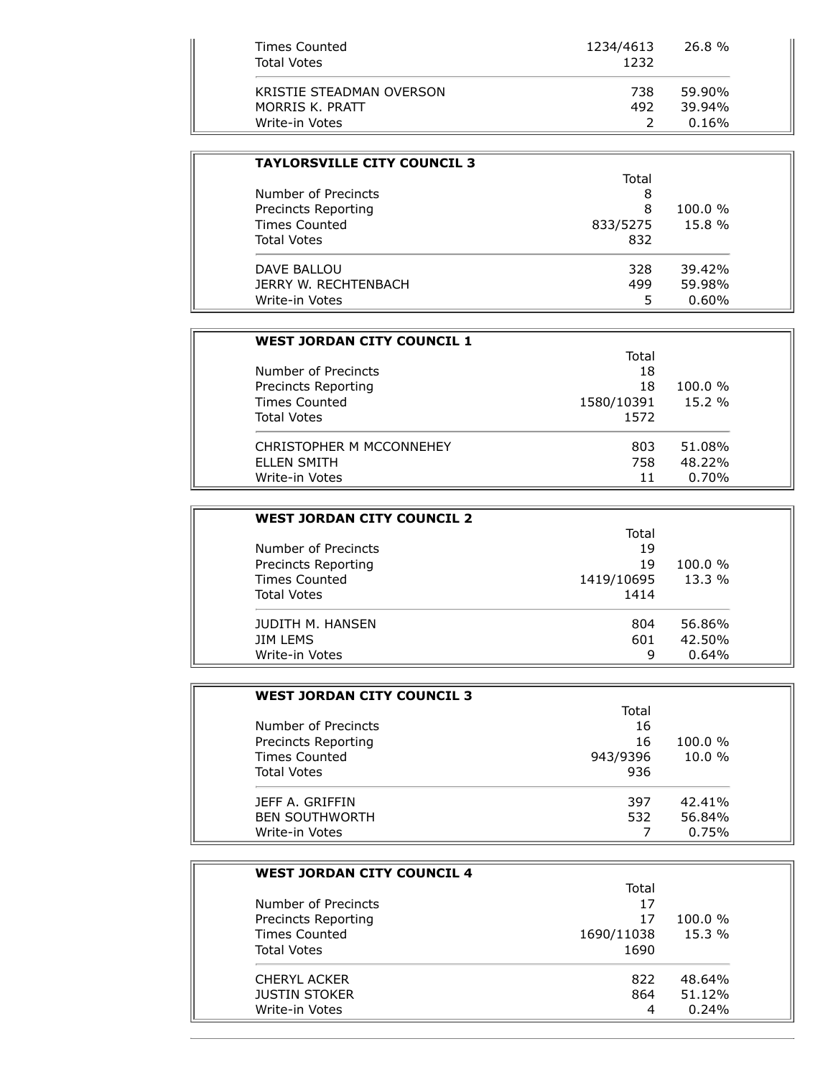| Times Counted            | 1234/4613 | 26.8%  |
|--------------------------|-----------|--------|
| <b>Total Votes</b>       | 1232      |        |
| KRISTIE STEADMAN OVERSON | 738       | 59.90% |
| MORRIS K. PRATT          | 492       | 39.94% |
| Write-in Votes           |           | 0.16%  |

| <b>TAYLORSVILLE CITY COUNCIL 3</b> |          |            |
|------------------------------------|----------|------------|
|                                    | Total    |            |
| Number of Precincts                | 8        |            |
| Precincts Reporting                | 8        | $100.0 \%$ |
| <b>Times Counted</b>               | 833/5275 | 15.8 %     |
| <b>Total Votes</b>                 | 832      |            |
| DAVE BALLOU                        | 328      | 39.42%     |
| JERRY W. RECHTENBACH               | 499      | 59.98%     |
| Write-in Votes                     |          | $0.60\%$   |

| <b>WEST JORDAN CITY COUNCIL 1</b> |            |            |
|-----------------------------------|------------|------------|
|                                   | Total      |            |
| Number of Precincts               | 18         |            |
| Precincts Reporting               | 18         | $100.0 \%$ |
| Times Counted                     | 1580/10391 | 15.2%      |
| <b>Total Votes</b>                | 1572       |            |
| CHRISTOPHER M MCCONNEHEY          | 803        | 51.08%     |
| ELLEN SMITH                       | 758        | 48.22%     |
| Write-in Votes                    | 11         | 0.70%      |

| <b>WEST JORDAN CITY COUNCIL 2</b> |            |            |
|-----------------------------------|------------|------------|
|                                   | Total      |            |
| Number of Precincts               | 19         |            |
| Precincts Reporting               | 19         | $100.0 \%$ |
| Times Counted                     | 1419/10695 | $13.3\%$   |
| <b>Total Votes</b>                | 1414       |            |
| JUDITH M. HANSEN                  | 804        | 56.86%     |
| <b>JIM LEMS</b>                   | 601        | 42.50%     |
| Write-in Votes                    | 9          | 0.64%      |

| <b>WEST JORDAN CITY COUNCIL 3</b> |          |           |
|-----------------------------------|----------|-----------|
|                                   | Total    |           |
| Number of Precincts               | 16       |           |
| Precincts Reporting               | 16       | 100.0%    |
| <b>Times Counted</b>              | 943/9396 | 10.0%     |
| <b>Total Votes</b>                | 936      |           |
| <b>JEFF A. GRIFFIN</b>            | 397      | $42.41\%$ |
| <b>BEN SOUTHWORTH</b>             | 532      | 56.84%    |
| Write-in Votes                    |          | 0.75%     |

| <b>WEST JORDAN CITY COUNCIL 4</b> |            |            |
|-----------------------------------|------------|------------|
|                                   | Total      |            |
| Number of Precincts               | 17         |            |
| Precincts Reporting               | 17         | $100.0 \%$ |
| <b>Times Counted</b>              | 1690/11038 | 15.3%      |
| <b>Total Votes</b>                | 1690       |            |
| <b>CHERYL ACKER</b>               | 822        | 48.64%     |
| <b>JUSTIN STOKER</b>              | 864        | 51.12%     |
| Write-in Votes                    | 4          | 0.24%      |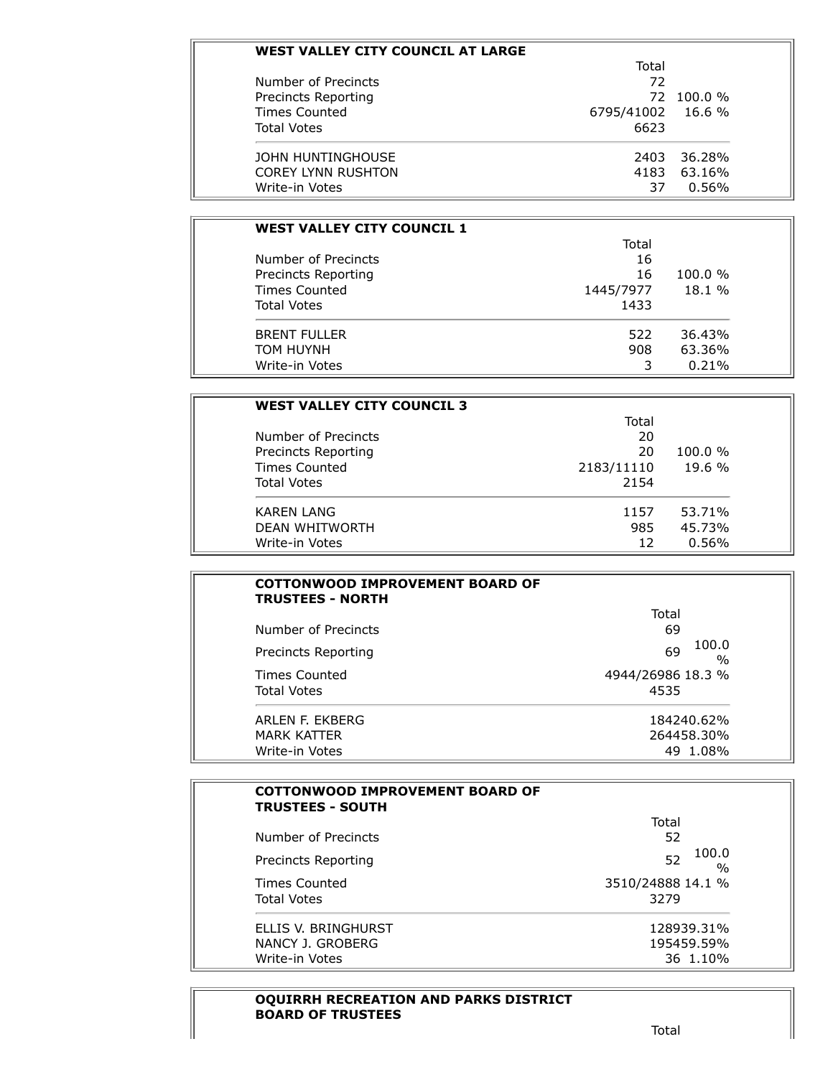| WEST VALLEY CITY COUNCIL AT LARGE |            |            |
|-----------------------------------|------------|------------|
|                                   | Total      |            |
| Number of Precincts               | 72         |            |
| Precincts Reporting               | 72.        | $100.0 \%$ |
| Times Counted                     | 6795/41002 | 16.6 %     |
| <b>Total Votes</b>                | 6623       |            |
| JOHN HUNTINGHOUSE                 | 2403       | 36.28%     |
| <b>COREY LYNN RUSHTON</b>         | 4183       | 63.16%     |
| Write-in Votes                    | 37         | 0.56%      |

| <b>WEST VALLEY CITY COUNCIL 1</b> |           |        |
|-----------------------------------|-----------|--------|
|                                   | Total     |        |
| Number of Precincts               | 16        |        |
| Precincts Reporting               | 16        | 100.0% |
| Times Counted                     | 1445/7977 | 18.1 % |
| <b>Total Votes</b>                | 1433      |        |
| <b>BRENT FULLER</b>               | 522       | 36.43% |
| TOM HUYNH                         | 908       | 63.36% |
| Write-in Votes                    | 3         | 0.21%  |

| <b>WEST VALLEY CITY COUNCIL 3</b>                                  |            |                      |
|--------------------------------------------------------------------|------------|----------------------|
|                                                                    | Total      |                      |
| Number of Precincts<br>Precincts Reporting<br><b>Times Counted</b> | 20         | $100.0 \%$<br>19.6 % |
|                                                                    | 20         |                      |
|                                                                    | 2183/11110 |                      |
| <b>Total Votes</b>                                                 | 2154       |                      |
| <b>KAREN LANG</b>                                                  | 1157       | 53.71%               |
| <b>DEAN WHITWORTH</b>                                              | 985        | 45.73%               |
| Write-in Votes                                                     | 12         | 0.56%                |

| <b>COTTONWOOD IMPROVEMENT BOARD OF</b><br><b>TRUSTEES - NORTH</b> |                              |
|-------------------------------------------------------------------|------------------------------|
|                                                                   | Total                        |
| Number of Precincts                                               | 69                           |
| Precincts Reporting                                               | 100.0<br>69<br>$\frac{0}{0}$ |
| Times Counted                                                     | 4944/26986 18.3 %            |
| <b>Total Votes</b>                                                | 4535                         |
| ARI FN F. FKBFRG                                                  | 184240.62%                   |
| MARK KATTFR                                                       | 264458.30%                   |
| Write-in Votes                                                    | 49 1.08%                     |

| <b>COTTONWOOD IMPROVEMENT BOARD OF</b><br><b>TRUSTEES - SOUTH</b> |                              |
|-------------------------------------------------------------------|------------------------------|
|                                                                   | Total                        |
| Number of Precincts                                               | 52                           |
| Precincts Reporting                                               | 100.0<br>52<br>$\frac{0}{0}$ |
| Times Counted                                                     | 3510/24888 14.1 %            |
| <b>Total Votes</b>                                                | 3279                         |
| ELLIS V. BRINGHURST                                               | 128939.31%                   |
| NANCY J. GROBERG                                                  | 195459.59%                   |
| Write-in Votes                                                    | 36 1.10%                     |

#### **OQUIRRH RECREATION AND PARKS DISTRICT BOARD OF TRUSTEES**